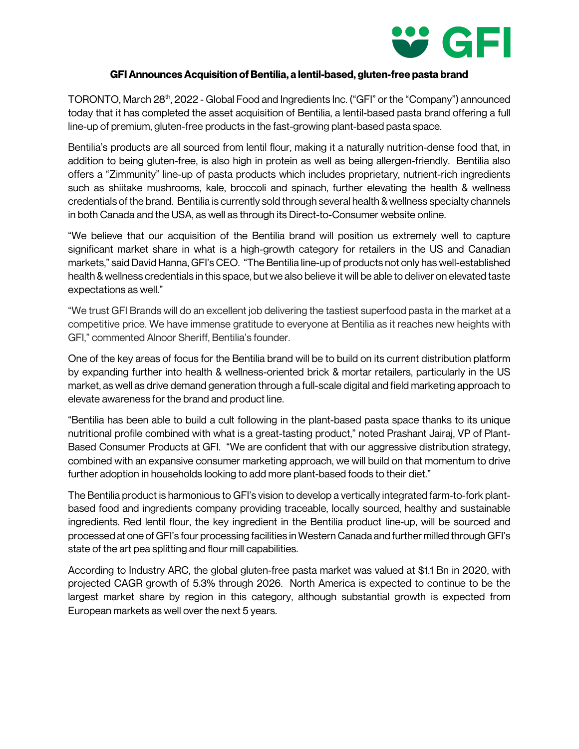

## **GFI Announces Acquisition of Bentilia, a lentil-based, gluten-free pasta brand**

TORONTO, March 28th, 2022 - Global Food and Ingredients Inc. ("GFI" or the "Company") announced today that it has completed the asset acquisition of Bentilia, a lentil-based pasta brand offering a full line-up of premium, gluten-free products in the fast-growing plant-based pasta space.

Bentilia's products are all sourced from lentil flour, making it a naturally nutrition-dense food that, in addition to being gluten-free, is also high in protein as well as being allergen-friendly. Bentilia also offers a "Zimmunity" line-up of pasta products which includes proprietary, nutrient-rich ingredients such as shiitake mushrooms, kale, broccoli and spinach, further elevating the health & wellness credentials of the brand. Bentilia is currently sold through several health & wellness specialty channels in both Canada and the USA, as well as through its Direct-to-Consumer website online.

"We believe that our acquisition of the Bentilia brand will position us extremely well to capture significant market share in what is a high-growth category for retailers in the US and Canadian markets," said David Hanna, GFI's CEO. "The Bentilia line-up of products not only has well-established health & wellness credentials in this space, but we also believe it will be able to deliver on elevated taste expectations as well."

"We trust GFI Brands will do an excellent job delivering the tastiest superfood pasta in the market at a competitive price. We have immense gratitude to everyone at Bentilia as it reaches new heights with GFI," commented Alnoor Sheriff, Bentilia's founder.

One of the key areas of focus for the Bentilia brand will be to build on its current distribution platform by expanding further into health & wellness-oriented brick & mortar retailers, particularly in the US market, as well as drive demand generation through a full-scale digital and field marketing approach to elevate awareness for the brand and product line.

"Bentilia has been able to build a cult following in the plant-based pasta space thanks to its unique nutritional profile combined with what is a great-tasting product," noted Prashant Jairaj, VP of Plant-Based Consumer Products at GFI. "We are confident that with our aggressive distribution strategy, combined with an expansive consumer marketing approach, we will build on that momentum to drive further adoption in households looking to add more plant-based foods to their diet."

The Bentilia product is harmonious to GFI's vision to develop a vertically integrated farm-to-fork plantbased food and ingredients company providing traceable, locally sourced, healthy and sustainable ingredients. Red lentil flour, the key ingredient in the Bentilia product line-up, will be sourced and processed at one of GFI's four processing facilities in Western Canada and further milled through GFI's state of the art pea splitting and flour mill capabilities.

According to Industry ARC, the global gluten-free pasta market was valued at \$1.1 Bn in 2020, with projected CAGR growth of 5.3% through 2026. North America is expected to continue to be the largest market share by region in this category, although substantial growth is expected from European markets as well over the next 5 years.